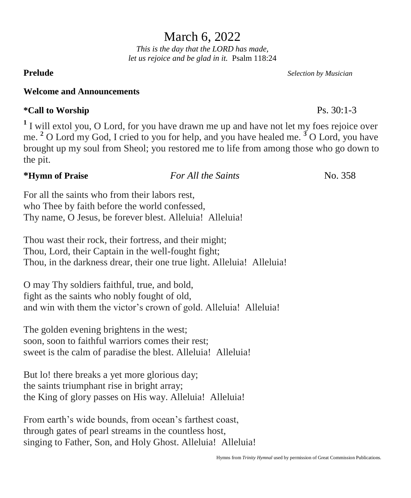## March 6, 2022

*This is the day that the LORD has made, let us rejoice and be glad in it.* Psalm 118:24

### **Welcome and Announcements**

## **\*Call to Worship** Ps. 30:1-3

<sup>1</sup> I will extol you, O Lord, for you have drawn me up and have not let my foes rejoice over me. **<sup>2</sup>** O Lord my God, I cried to you for help, and you have healed me. **<sup>3</sup>** O Lord, you have brought up my soul from Sheol; you restored me to life from among those who go down to the pit.

## **\*Hymn of Praise** *For All the Saints*No. 358

For all the saints who from their labors rest, who Thee by faith before the world confessed, Thy name, O Jesus, be forever blest. Alleluia! Alleluia!

Thou wast their rock, their fortress, and their might; Thou, Lord, their Captain in the well-fought fight; Thou, in the darkness drear, their one true light. Alleluia! Alleluia!

O may Thy soldiers faithful, true, and bold, fight as the saints who nobly fought of old, and win with them the victor's crown of gold. Alleluia! Alleluia!

The golden evening brightens in the west; soon, soon to faithful warriors comes their rest; sweet is the calm of paradise the blest. Alleluia! Alleluia!

But lo! there breaks a yet more glorious day; the saints triumphant rise in bright array; the King of glory passes on His way. Alleluia! Alleluia!

From earth's wide bounds, from ocean's farthest coast, through gates of pearl streams in the countless host, singing to Father, Son, and Holy Ghost. Alleluia! Alleluia!

**Prelude** *Selection by Musician*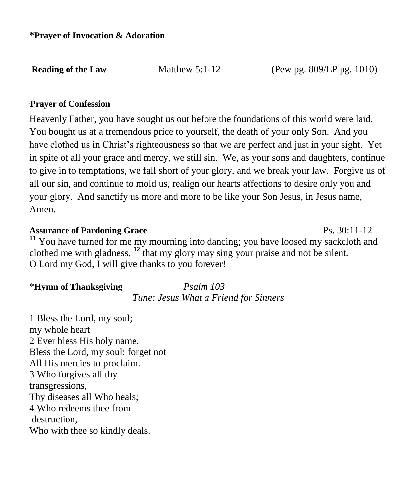**Reading of the Law Matthew 5:1-12 (Pew pg. 809/LP pg. 1010)** 

### \**Prayer of Confession**

Heavenly Father, you have sought us out before the foundations of this world were laid. You bought us at a tremendous price to yourself, the death of your only Son. And you have clothed us in Christ's righteousness so that we are perfect and just in your sight. Yet in spite of all your grace and mercy, we still sin. We, as your sons and daughters, continue to give in to temptations, we fall short of your glory, and we break your law. Forgive us of all our sin, and continue to mold us, realign our hearts affections to desire only you and your glory. And sanctify us more and more to be like your Son Jesus, in Jesus name, Amen.

### Assurance of Pardoning Grace **Ps. 30:11-12**

**<sup>11</sup>** You have turned for me my mourning into dancing; you have loosed my sackcloth and clothed me with gladness, **<sup>12</sup>** that my glory may sing your praise and not be silent. O Lord my God, I will give thanks to you forever!

### \***Hymn of Thanksgiving** *Psalm 103*

*Tune: Jesus What a Friend for Sinners*

1 Bless the Lord, my soul; my whole heart 2 Ever bless His holy name. Bless the Lord, my soul; forget not All His mercies to proclaim. 3 Who forgives all thy transgressions, Thy diseases all Who heals; 4 Who redeems thee from destruction, Who with thee so kindly deals.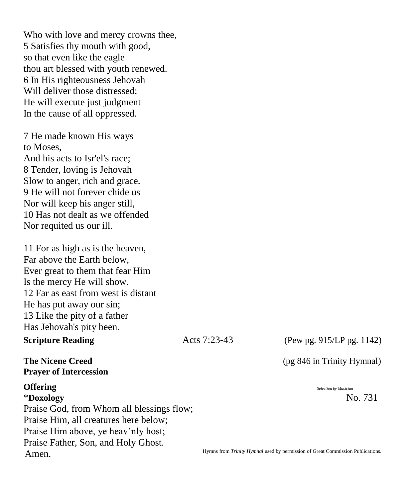Who with love and mercy crowns thee, 5 Satisfies thy mouth with good, so that even like the eagle thou art blessed with youth renewed. 6 In His righteousness Jehovah Will deliver those distressed; He will execute just judgment In the cause of all oppressed.

7 He made known His ways to Moses, And his acts to Isr'el's race; 8 Tender, loving is Jehovah Slow to anger, rich and grace. 9 He will not forever chide us Nor will keep his anger still, 10 Has not dealt as we offended Nor requited us our ill.

11 For as high as is the heaven, Far above the Earth below, Ever great to them that fear Him Is the mercy He will show. 12 Far as east from west is distant He has put away our sin; 13 Like the pity of a father Has Jehovah's pity been.

### **Scripture Reading** Acts 7:23-43

### (Pew pg. 915/LP pg. 1142)

**The Nicene Creed Trinity Hymnal** (pg 846 in Trinity Hymnal)

\***Doxology** No. 731

**Prayer of Intercession**

# **Offering** *Selection by Musician*

Praise God, from Whom all blessings flow; Praise Him, all creatures here below; Praise Him above, ye heav'nly host; Praise Father, Son, and Holy Ghost. Amen.

Hymns from *Trinity Hymnal* used by permission of Great Commission Publications.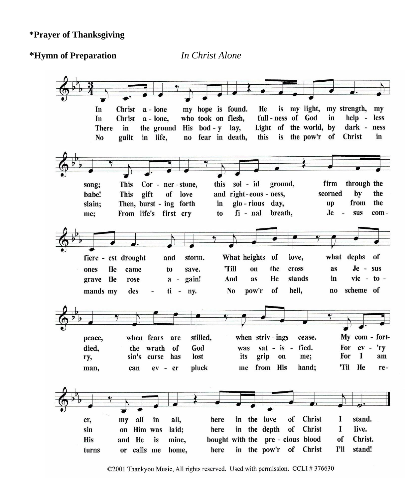### **\*Prayer of Thanksgiving**

### **\*Hymn of Preparation** *In Christ Alone*



<sup>©2001</sup> Thankyou Music, All rights reserved. Used with permission. CCLI #376630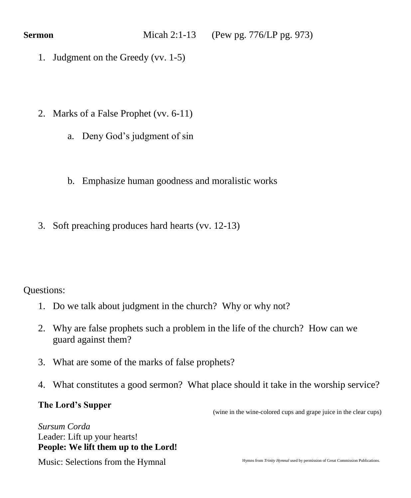- 1. Judgment on the Greedy (vv. 1-5)
- 2. Marks of a False Prophet (vv. 6-11)
	- a. Deny God's judgment of sin
	- b. Emphasize human goodness and moralistic works
- 3. Soft preaching produces hard hearts (vv. 12-13)

## Questions:

- 1. Do we talk about judgment in the church? Why or why not?
- 2. Why are false prophets such a problem in the life of the church? How can we guard against them?
- 3. What are some of the marks of false prophets?
- 4. What constitutes a good sermon? What place should it take in the worship service?

### **The Lord's Supper**

(wine in the wine-colored cups and grape juice in the clear cups)

*Sursum Corda* Leader: Lift up your hearts! **People: We lift them up to the Lord!** 

Music: Selections from the Hymnal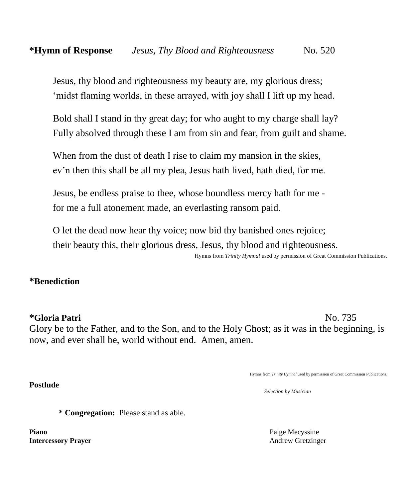Jesus, thy blood and righteousness my beauty are, my glorious dress; 'midst flaming worlds, in these arrayed, with joy shall I lift up my head.

Bold shall I stand in thy great day; for who aught to my charge shall lay? Fully absolved through these I am from sin and fear, from guilt and shame.

When from the dust of death I rise to claim my mansion in the skies, ev'n then this shall be all my plea, Jesus hath lived, hath died, for me.

Jesus, be endless praise to thee, whose boundless mercy hath for me for me a full atonement made, an everlasting ransom paid.

O let the dead now hear thy voice; now bid thy banished ones rejoice; their beauty this, their glorious dress, Jesus, thy blood and righteousness. Hymns from *Trinity Hymnal* used by permission of Great Commission Publications.

**\*Benediction**

**Postlude** 

**\*Gloria Patri** No. 735 Glory be to the Father, and to the Son, and to the Holy Ghost; as it was in the beginning, is now, and ever shall be, world without end. Amen, amen.

Hymns from *Trinity Hymnal* used by permission of Great Commission Publications.

*Selection by Musician*

**\* Congregation:** Please stand as able.

**Piano** Paige Mecyssine **Intercessory Prayer** Andrew Gretzinger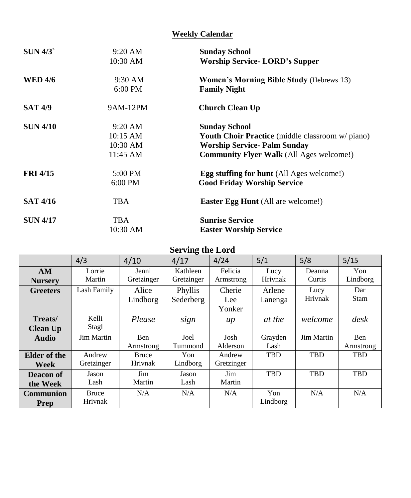### **Weekly Calendar**

| SUN 4/3         | $9:20$ AM  | <b>Sunday School</b>                                    |
|-----------------|------------|---------------------------------------------------------|
|                 | 10:30 AM   | <b>Worship Service- LORD's Supper</b>                   |
| <b>WED 4/6</b>  | 9:30 AM    | <b>Women's Morning Bible Study (Hebrews 13)</b>         |
|                 | $6:00$ PM  | <b>Family Night</b>                                     |
| <b>SAT 4/9</b>  | 9AM-12PM   | <b>Church Clean Up</b>                                  |
| <b>SUN 4/10</b> | $9:20$ AM  | <b>Sunday School</b>                                    |
|                 | 10:15 AM   | <b>Youth Choir Practice</b> (middle classroom w/ piano) |
|                 | 10:30 AM   | <b>Worship Service- Palm Sunday</b>                     |
|                 | 11:45 AM   | <b>Community Flyer Walk</b> (All Ages welcome!)         |
| <b>FRI 4/15</b> | 5:00 PM    | <b>Egg stuffing for hunt</b> (All Ages welcome!)        |
|                 | $6:00$ PM  | <b>Good Friday Worship Service</b>                      |
| <b>SAT 4/16</b> | <b>TBA</b> | <b>Easter Egg Hunt</b> (All are welcome!)               |
| <b>SUN 4/17</b> | <b>TBA</b> | <b>Sunrise Service</b>                                  |
|                 | 10:30 AM   | <b>Easter Worship Service</b>                           |

### **Serving the Lord**

|                  | 4/3          | 4/10       | 4/17       | 4/24       | 5/1        | 5/8        | 5/15            |
|------------------|--------------|------------|------------|------------|------------|------------|-----------------|
| AM               | Lorrie       | Jenni      | Kathleen   | Felicia    | Lucy       | Deanna     | Yon             |
| <b>Nursery</b>   | Martin       | Gretzinger | Gretzinger | Armstrong  | Hrivnak    | Curtis     | Lindborg        |
| <b>Greeters</b>  | Lash Family  | Alice      | Phyllis    | Cherie     | Arlene     | Lucy       | Dar             |
|                  |              | Lindborg   | Sederberg  | Lee        | Lanenga    | Hrivnak    | Stam            |
|                  |              |            |            | Yonker     |            |            |                 |
| Treats/          | Kelli        | Please     | sign       | $\mu$      | at the     | welcome    | $\frac{d}{dsk}$ |
| <b>Clean Up</b>  | Stagl        |            |            |            |            |            |                 |
| <b>Audio</b>     | Jim Martin   | <b>Ben</b> | Joel       | Josh       | Grayden    | Jim Martin | <b>Ben</b>      |
|                  |              | Armstrong  | Tummond    | Alderson   | Lash       |            | Armstrong       |
| Elder of the     | Andrew       | Bruce      | Yon        | Andrew     | TBD        | <b>TBD</b> | TBD             |
| Week             | Gretzinger   | Hrivnak    | Lindborg   | Gretzinger |            |            |                 |
| Deacon of        | Jason        | Jim        | Jason      | Jim        | <b>TBD</b> | <b>TBD</b> | <b>TBD</b>      |
| the Week         | Lash         | Martin     | Lash       | Martin     |            |            |                 |
| <b>Communion</b> | <b>Bruce</b> | N/A        | N/A        | N/A        | Yon        | N/A        | N/A             |
| Prep             | Hrivnak      |            |            |            | Lindborg   |            |                 |